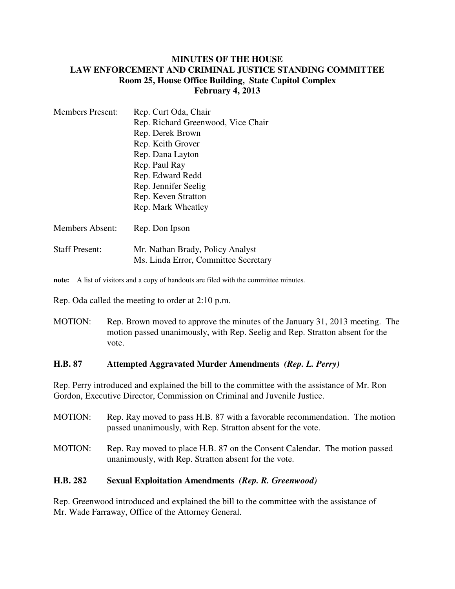### **MINUTES OF THE HOUSE LAW ENFORCEMENT AND CRIMINAL JUSTICE STANDING COMMITTEE Room 25, House Office Building, State Capitol Complex February 4, 2013**

| <b>Members Present:</b> | Rep. Curt Oda, Chair                 |
|-------------------------|--------------------------------------|
|                         | Rep. Richard Greenwood, Vice Chair   |
|                         | Rep. Derek Brown                     |
|                         | Rep. Keith Grover                    |
|                         | Rep. Dana Layton                     |
|                         | Rep. Paul Ray                        |
|                         | Rep. Edward Redd                     |
|                         | Rep. Jennifer Seelig                 |
|                         | Rep. Keven Stratton                  |
|                         | Rep. Mark Wheatley                   |
| <b>Members Absent:</b>  | Rep. Don Ipson                       |
| <b>Staff Present:</b>   | Mr. Nathan Brady, Policy Analyst     |
|                         | Ms. Linda Error, Committee Secretary |

**note:** A list of visitors and a copy of handouts are filed with the committee minutes.

Rep. Oda called the meeting to order at 2:10 p.m.

MOTION: Rep. Brown moved to approve the minutes of the January 31, 2013 meeting. The motion passed unanimously, with Rep. Seelig and Rep. Stratton absent for the vote.

### **H.B. 87 Attempted Aggravated Murder Amendments** *(Rep. L. Perry)*

Rep. Perry introduced and explained the bill to the committee with the assistance of Mr. Ron Gordon, Executive Director, Commission on Criminal and Juvenile Justice.

| <b>MOTION:</b> | Rep. Ray moved to pass H.B. 87 with a favorable recommendation. The motion<br>passed unanimously, with Rep. Stratton absent for the vote. |
|----------------|-------------------------------------------------------------------------------------------------------------------------------------------|
| MOTION:        | Rep. Ray moved to place H.B. 87 on the Consent Calendar. The motion passed<br>unanimously, with Rep. Stratton absent for the vote.        |

## **H.B. 282 Sexual Exploitation Amendments** *(Rep. R. Greenwood)*

Rep. Greenwood introduced and explained the bill to the committee with the assistance of Mr. Wade Farraway, Office of the Attorney General.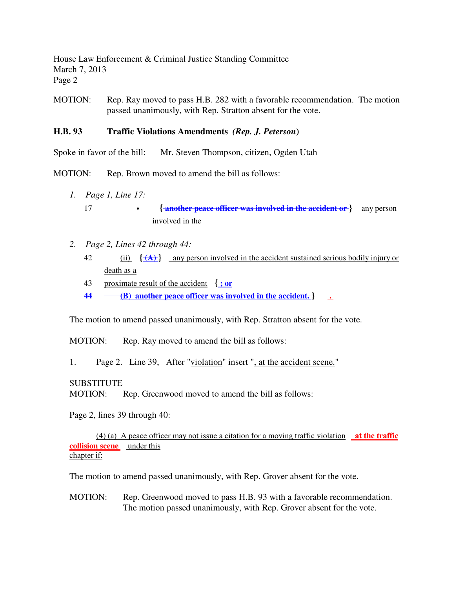House Law Enforcement & Criminal Justice Standing Committee March 7, 2013 Page 2

MOTION: Rep. Ray moved to pass H.B. 282 with a favorable recommendation. The motion passed unanimously, with Rep. Stratton absent for the vote.

### **H.B. 93 Traffic Violations Amendments** *(Rep. J. Peterson***)**

Spoke in favor of the bill: Mr. Steven Thompson, citizen, Ogden Utah

MOTION: Rep. Brown moved to amend the bill as follows:

- *1. Page 1, Line 17:*
	- 17 **{ another peace officer was involved in the accident or }** any person involved in the
- *2. Page 2, Lines 42 through 44:*
	- 42 (ii)  $\{\hat{A}\}\}$  any person involved in the accident sustained serious bodily injury or death as a
	- 43 proximate result of the accident **{ ; or**
	- **44 (B) another peace officer was involved in the accident. } .**

The motion to amend passed unanimously, with Rep. Stratton absent for the vote.

MOTION: Rep. Ray moved to amend the bill as follows:

1. Page 2. Line 39, After "violation" insert ", at the accident scene."

**SUBSTITUTE** 

MOTION: Rep. Greenwood moved to amend the bill as follows:

Page 2, lines 39 through 40:

(4) (a) A peace officer may not issue a citation for a moving traffic violation **at the traffic <u>collision scene</u>** <u>under</u> this chapter if:

The motion to amend passed unanimously, with Rep. Grover absent for the vote.

MOTION: Rep. Greenwood moved to pass H.B. 93 with a favorable recommendation. The motion passed unanimously, with Rep. Grover absent for the vote.